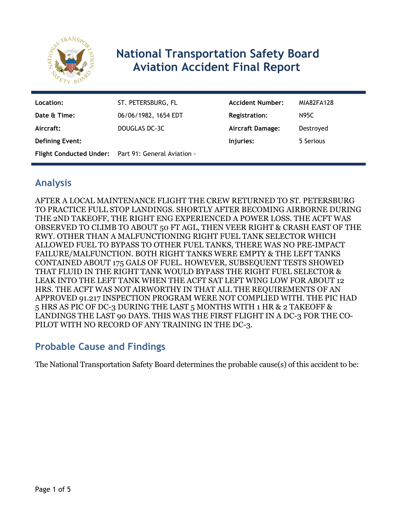

# **National Transportation Safety Board Aviation Accident Final Report**

| Location:              | ST. PETERSBURG, FL                                  | <b>Accident Number:</b> | MIA82FA128 |
|------------------------|-----------------------------------------------------|-------------------------|------------|
| Date & Time:           | 06/06/1982, 1654 EDT                                | Registration:           | N95C       |
| Aircraft:              | DOUGLAS DC-3C                                       | <b>Aircraft Damage:</b> | Destroyed  |
| <b>Defining Event:</b> |                                                     | Injuries:               | 5 Serious  |
|                        | Flight Conducted Under: Part 91: General Aviation - |                         |            |

## **Analysis**

AFTER A LOCAL MAINTENANCE FLIGHT THE CREW RETURNED TO ST. PETERSBURG TO PRACTICE FULL STOP LANDINGS. SHORTLY AFTER BECOMING AIRBORNE DURING THE 2ND TAKEOFF, THE RIGHT ENG EXPERIENCED A POWER LOSS. THE ACFT WAS OBSERVED TO CLIMB TO ABOUT 50 FT AGL, THEN VEER RIGHT & CRASH EAST OF THE RWY. OTHER THAN A MALFUNCTIONING RIGHT FUEL TANK SELECTOR WHICH ALLOWED FUEL TO BYPASS TO OTHER FUEL TANKS, THERE WAS NO PRE-IMPACT FAILURE/MALFUNCTION. BOTH RIGHT TANKS WERE EMPTY & THE LEFT TANKS CONTAINED ABOUT 175 GALS OF FUEL. HOWEVER, SUBSEQUENT TESTS SHOWED THAT FLUID IN THE RIGHT TANK WOULD BYPASS THE RIGHT FUEL SELECTOR & LEAK INTO THE LEFT TANK WHEN THE ACFT SAT LEFT WING LOW FOR ABOUT 12 HRS. THE ACFT WAS NOT AIRWORTHY IN THAT ALL THE REQUIREMENTS OF AN APPROVED 91.217 INSPECTION PROGRAM WERE NOT COMPLIED WITH. THE PIC HAD 5 HRS AS PIC OF DC-3 DURING THE LAST 5 MONTHS WITH 1 HR & 2 TAKEOFF & LANDINGS THE LAST 90 DAYS. THIS WAS THE FIRST FLIGHT IN A DC-3 FOR THE CO-PILOT WITH NO RECORD OF ANY TRAINING IN THE DC-3.

## **Probable Cause and Findings**

The National Transportation Safety Board determines the probable cause(s) of this accident to be: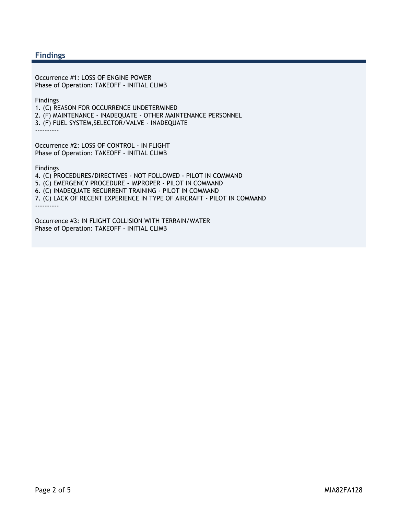#### **Findings**

Occurrence #1: LOSS OF ENGINE POWER Phase of Operation: TAKEOFF - INITIAL CLIMB

Findings

1. (C) REASON FOR OCCURRENCE UNDETERMINED 2. (F) MAINTENANCE - INADEQUATE - OTHER MAINTENANCE PERSONNEL

3. (F) FUEL SYSTEM,SELECTOR/VALVE - INADEQUATE

----------

Occurrence #2: LOSS OF CONTROL - IN FLIGHT Phase of Operation: TAKEOFF - INITIAL CLIMB

Findings

4. (C) PROCEDURES/DIRECTIVES - NOT FOLLOWED - PILOT IN COMMAND 5. (C) EMERGENCY PROCEDURE - IMPROPER - PILOT IN COMMAND 6. (C) INADEQUATE RECURRENT TRAINING - PILOT IN COMMAND 7. (C) LACK OF RECENT EXPERIENCE IN TYPE OF AIRCRAFT - PILOT IN COMMAND ----------

Occurrence #3: IN FLIGHT COLLISION WITH TERRAIN/WATER Phase of Operation: TAKEOFF - INITIAL CLIMB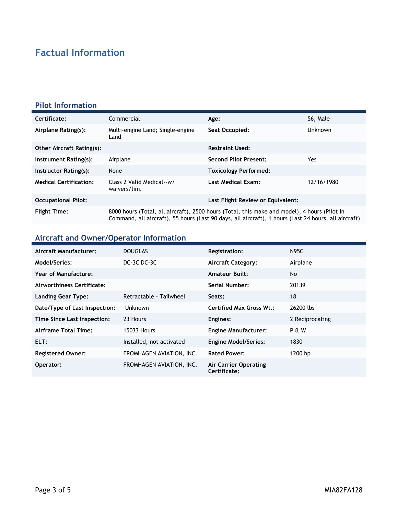# **Factual Information**

### **Pilot Information**

| Certificate:                     | Commercial                                                                                                                                                                                           | Age:                              | 56, Male       |
|----------------------------------|------------------------------------------------------------------------------------------------------------------------------------------------------------------------------------------------------|-----------------------------------|----------------|
| Airplane Rating(s):              | Multi-engine Land; Single-engine<br>Land                                                                                                                                                             | Seat Occupied:                    | <b>Unknown</b> |
| <b>Other Aircraft Rating(s):</b> |                                                                                                                                                                                                      | <b>Restraint Used:</b>            |                |
| Instrument Rating(s):            | Airplane                                                                                                                                                                                             | <b>Second Pilot Present:</b>      | Yes            |
| Instructor Rating(s):            | None                                                                                                                                                                                                 | <b>Toxicology Performed:</b>      |                |
| <b>Medical Certification:</b>    | Class 2 Valid Medical--w/<br>waivers/lim.                                                                                                                                                            | Last Medical Exam:                | 12/16/1980     |
| <b>Occupational Pilot:</b>       |                                                                                                                                                                                                      | Last Flight Review or Equivalent: |                |
| <b>Flight Time:</b>              | 8000 hours (Total, all aircraft), 2500 hours (Total, this make and model), 4 hours (Pilot In<br>Command, all aircraft), 55 hours (Last 90 days, all aircraft), 1 hours (Last 24 hours, all aircraft) |                                   |                |

## **Aircraft and Owner/Operator Information**

| Aircraft Manufacturer:        | <b>DOUGLAS</b>           | <b>Registration:</b>                  | <b>N95C</b>      |
|-------------------------------|--------------------------|---------------------------------------|------------------|
| Model/Series:                 | DC-3C DC-3C              | <b>Aircraft Category:</b>             | Airplane         |
| Year of Manufacture:          |                          | <b>Amateur Built:</b>                 | No               |
| Airworthiness Certificate:    |                          | Serial Number:                        | 20139            |
| <b>Landing Gear Type:</b>     | Retractable - Tailwheel  | Seats:                                | 18               |
| Date/Type of Last Inspection: | Unknown                  | <b>Certified Max Gross Wt.:</b>       | 26200 lbs        |
| Time Since Last Inspection:   | 23 Hours                 | Engines:                              | 2 Reciprocating  |
| Airframe Total Time:          | <b>15033 Hours</b>       | <b>Engine Manufacturer:</b>           | <b>P &amp; W</b> |
| ELT:                          | Installed, not activated | <b>Engine Model/Series:</b>           | 1830             |
| <b>Registered Owner:</b>      | FROMHAGEN AVIATION, INC. | <b>Rated Power:</b>                   | 1200 hp          |
| Operator:                     | FROMHAGEN AVIATION, INC. | Air Carrier Operating<br>Certificate: |                  |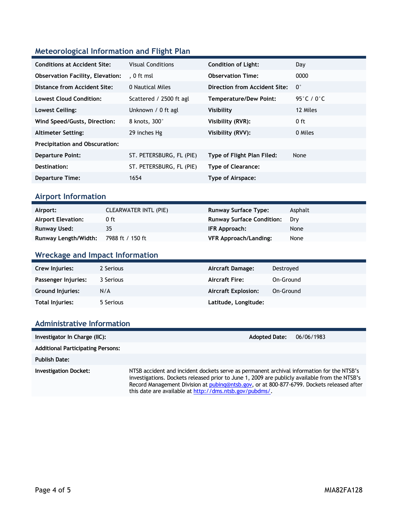### **Meteorological Information and Flight Plan**

| <b>Conditions at Accident Site:</b>     | <b>Visual Conditions</b> | <b>Condition of Light:</b>    | Day           |
|-----------------------------------------|--------------------------|-------------------------------|---------------|
| <b>Observation Facility, Elevation:</b> | . 0 ft msl               | <b>Observation Time:</b>      | 0000          |
| Distance from Accident Site:            | 0 Nautical Miles         | Direction from Accident Site: | $0^{\circ}$   |
| <b>Lowest Cloud Condition:</b>          | Scattered / 2500 ft agl  | <b>Temperature/Dew Point:</b> | 95 $°C / 0°C$ |
| Lowest Ceiling:                         | Unknown / 0 ft agl       | Visibility                    | 12 Miles      |
| Wind Speed/Gusts, Direction:            | 8 knots, 300°            | Visibility (RVR):             | $0$ ft        |
| <b>Altimeter Setting:</b>               | 29 inches Hg             | Visibility (RVV):             | 0 Miles       |
| <b>Precipitation and Obscuration:</b>   |                          |                               |               |
| <b>Departure Point:</b>                 | ST. PETERSBURG, FL (PIE) | Type of Flight Plan Filed:    | None          |
| Destination:                            | ST. PETERSBURG, FL (PIE) | <b>Type of Clearance:</b>     |               |
| <b>Departure Time:</b>                  | 1654                     | Type of Airspace:             |               |

#### **Airport Information**

| Airport:                  | <b>CLEARWATER INTL (PIE)</b> | <b>Runway Surface Type:</b>      | Asphalt |
|---------------------------|------------------------------|----------------------------------|---------|
| <b>Airport Elevation:</b> | 0 ft                         | <b>Runway Surface Condition:</b> | Drv     |
| Runway Used:              | 35                           | IFR Approach:                    | None    |
| Runway Length/Width:      | 7988 ft / 150 ft             | <b>VFR Approach/Landing:</b>     | None    |

### **Wreckage and Impact Information**

| Crew Injuries:         | 2 Serious | Aircraft Damage:           | Destroved |
|------------------------|-----------|----------------------------|-----------|
| Passenger Injuries:    | 3 Serious | <b>Aircraft Fire:</b>      | On-Ground |
| Ground Injuries:       | N/A       | <b>Aircraft Explosion:</b> | On-Ground |
| <b>Total Injuries:</b> | 5 Serious | Latitude, Longitude:       |           |

#### **Administrative Information**

| Investigator In Charge (IIC):            | <b>Adopted Date:</b>                                                                                                                                                                                                                                                                                                                               | 06/06/1983 |
|------------------------------------------|----------------------------------------------------------------------------------------------------------------------------------------------------------------------------------------------------------------------------------------------------------------------------------------------------------------------------------------------------|------------|
| <b>Additional Participating Persons:</b> |                                                                                                                                                                                                                                                                                                                                                    |            |
| <b>Publish Date:</b>                     |                                                                                                                                                                                                                                                                                                                                                    |            |
| <b>Investigation Docket:</b>             | NTSB accident and incident dockets serve as permanent archival information for the NTSB's<br>investigations. Dockets released prior to June 1, 2009 are publicly available from the NTSB's<br>Record Management Division at pubing@ntsb.gov, or at 800-877-6799. Dockets released after<br>this date are available at http://dms.ntsb.gov/pubdms/. |            |